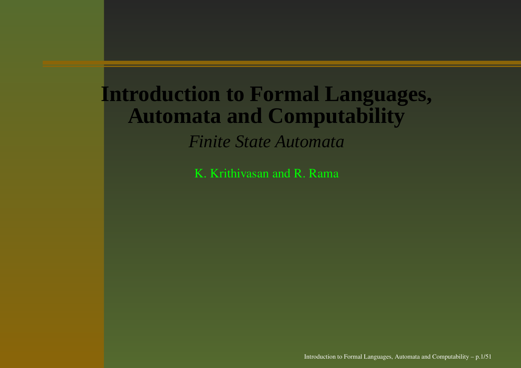## **Introduction to Formal Languages, Automata and Computability**

*Finite State Automata*

K. Krithivasan and R. Rama

Introduction to Formal Languages, Automata and Computability – p.1/51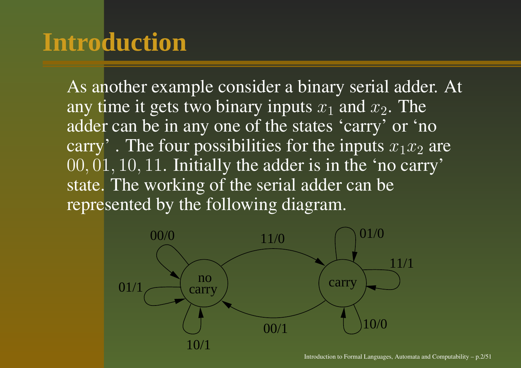## **Introduction**

As another example consider <sup>a</sup> binary serial adder. At any time it gets two binary inputs  $x_1$  and  $x_2$ . The adder can be in any one of the states 'carry' or 'no carry'. The four possibilities for the inputs  $x_1x_2$  are 00, 01, 10, 11. Initially the adder is in the 'no carry' state. The working of the serial adder can be represented by the following diagram.

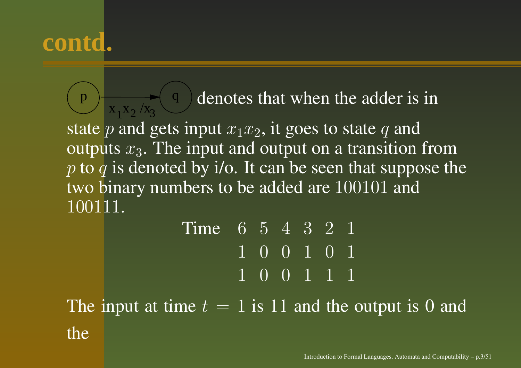$p \rightarrow x$ ,  $x_2/x_2$  q  $1^{\prime\prime}2^{\prime\prime}$ **2** denotes that when the adder is in state  $p$  and gets input  $x_1x_2,$  it goes to state  $q$  and outputs  $x_3$ . The input and output on a transition from p to q is denoted by i/o. It can be seen that suppose the two binary numbers to be added are 100101 and 100111.

|  |  | Time 6 5 4 3 2 1<br>1 0 0 1 0 1<br>1 0 0 1 1 1 |
|--|--|------------------------------------------------|

The input at time  $t = 1$  is 11 and the output is 0 and the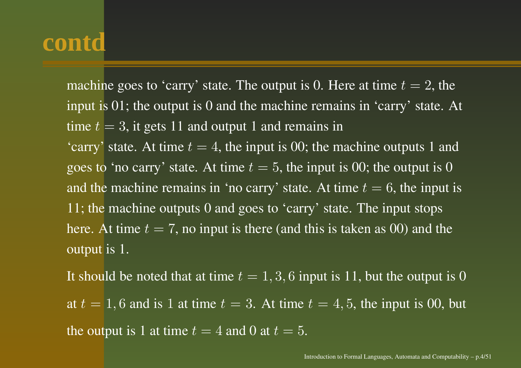machine goes to 'carry' state. The output is 0. Here at time  $t=2$ , the input is 01; the output is 0 and the machine remains in 'carry' state. At time  $t=3,$  it gets  $11$  and output  $1$  and remains in 'carry' state. At time  $t = 4$ , the input is 00; the machine outputs 1 and goes to 'no carry' state. At time  $t = 5$ , the input is 00; the output is 0 and the machine remains in 'no carry' state. At time  $t=6$ , the input is 11; the machine outputs 0 and goes to 'carry' state. The input stops here. At time  $t = 7$ , no input is there (and this is taken as 00) and the output is 1.

It should be noted that at time  $t=1,3,6$  input is 11, but the output is 0 at  $t = 1, 6$  and is 1 at time  $t = 3$ . At time  $t = 4, 5$ , the input is 00, but the output is 1 at time  $t=4$  and 0 at  $t=5.$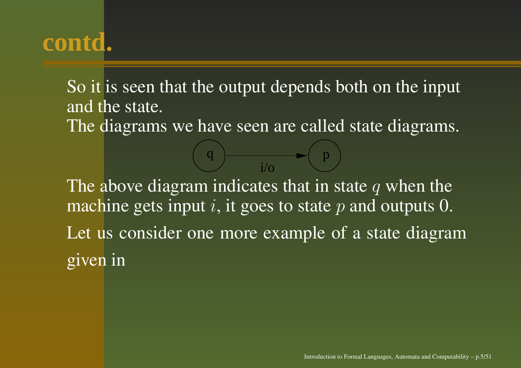So it is seen that the output depends both on the input and the state. The diagrams we have seen are called state diagrams.

The above diagram indicates that in state  $q$  when the machine gets input  $i,$  it goes to state  $p$  and outputs 0. Let us consider one more example of <sup>a</sup> state diagram given in

q  $\rangle$  p  $i/\alpha$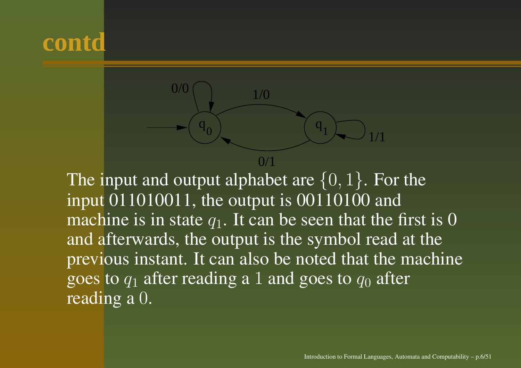

The input and output alphabet are  $\{0,1\}.$  For the input 011010011, the output is 00110100 and machine is in state  $q_1$ . It can be seen that the first is 0 and afterwards, the output is the symbol read at the previous instant. It can also be noted that the machine goes to  $q_1$  after reading a 1 and goes to  $q_0$  after reading <sup>a</sup> 0.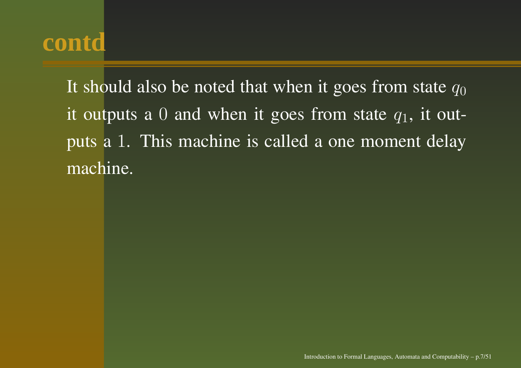It should also be noted that when it goes from state  $q_0$ it outputs a  $0$  and when it goes from state  $q_1$ , it outputs <sup>a</sup> 1. This machine is called <sup>a</sup> one moment delay machine.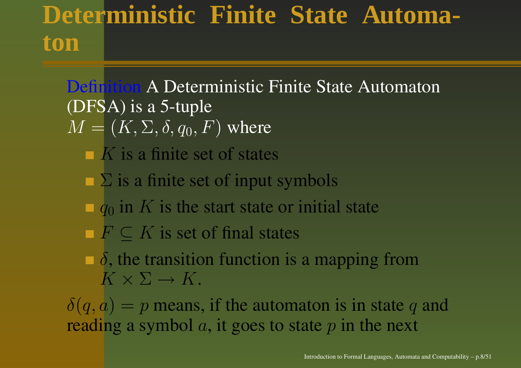## **Deterministic Finite State Automaton**

#### Definition A Deterministic Finite State Automaton (DFSA) is <sup>a</sup> 5-tuple  $M = (K,\Sigma,\delta,q_0,F)$  where

- K is <sup>a</sup> finite set of states
- $\Sigma$  is a finite set of input symbols
- $\blacksquare$   $q_0$  in K is the start state or initial state
- $F \subseteq K$  is set of final states
- $\delta$ , the transition function is a mapping from  $K \times \Sigma \to K$  .

 $\delta(q, a) = p$  means, if the automaton is in state q and reading a symbol  $a$ , it goes to state  $p$  in the next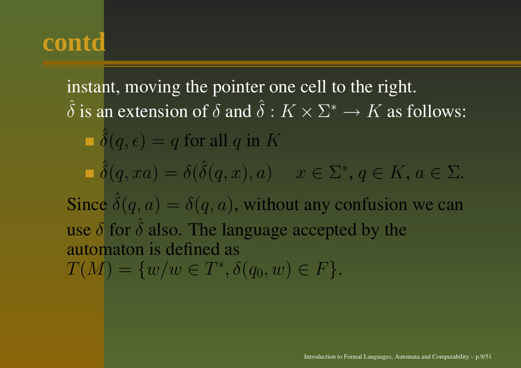instant, moving the pointer one cell to the right. ˆ $\hat{\delta}$  is an extension of  $\delta$  and  $\hat{\delta}$  $\delta:K\times\Sigma^*\to K$  as follows: ˆ $\delta(q,\epsilon) = q$  for all  $q$  in  $K$ ˆ $\hat{\delta}(q,xa) = \delta(\hat{\delta}% _{q-1}) \delta(\hat{\delta}_{q-1}) \label{delta_q_z}$  $\delta(q, x), a) \quad \ x \in \Sigma^*, \, q \in K, \, a \in \Sigma.$ Since ˆ $\delta(q,a) = \delta(q,a)$ , without any confusion we can use  $\delta$  for  $\delta$  also. The language accepted by the ˆautomaton is defined as  $T(M) = \{w/w \in T^*, \delta(q_0, w) \in F\}.$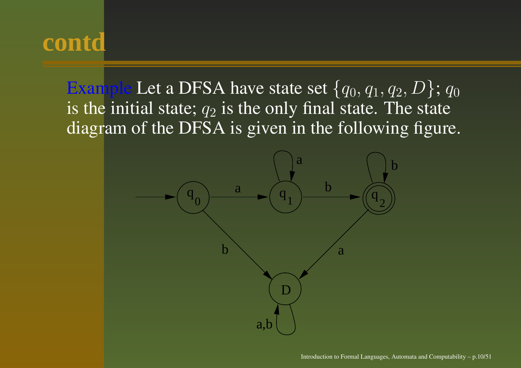Example Let a DFSA have state set  $\{q_0, q_1, q_2, D\}$ ;  $q_0$ is the initial state;  $q_2$  is the only final state. The state diagram of the DFSA is given in the following figure.

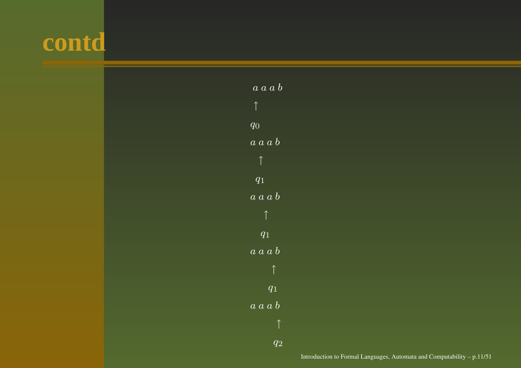

| $\overline{a}\; \overline{a}\; \overline{a}\; \overline{b}$                         |
|-------------------------------------------------------------------------------------|
| $\uparrow$                                                                          |
| $\overline{q_{0}}$                                                                  |
| $a\ a\ a\ b$                                                                        |
| $\uparrow$                                                                          |
| $q_{1}^{-}$                                                                         |
| $\overline{a}\ \overline{a}\ \overline{a}\ \overline{b}$                            |
| $\uparrow$                                                                          |
| $\overline{q_{1}}$                                                                  |
| $\overline{a}\ \overline{a}\ \overline{b}$<br>$\overline{a}_{\scriptscriptstyle -}$ |
| $\uparrow$                                                                          |
| $\overline{q_{1}}$                                                                  |
| $a\ \overline{a\ a\ b}$                                                             |
| ↑                                                                                   |
| $q_{\mathrm 2}$                                                                     |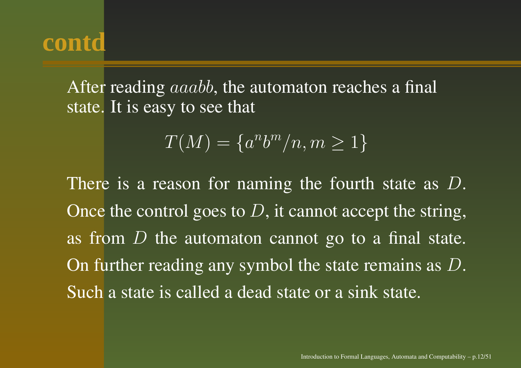After reading  $aaabb,$  the automaton reaches a final state. It is easy to see that

$$
T(M) = \{a^n b^m / n, m \ge 1\}
$$

There is a reason for naming the fourth state as  $D$ . Once the control goes to  $D,$  it cannot accept the string, as from  $D$  the automaton cannot go to a final state. On further reading any symbol the state remains as  $D.$ Such <sup>a</sup> state is called <sup>a</sup> dead state or <sup>a</sup> sink state.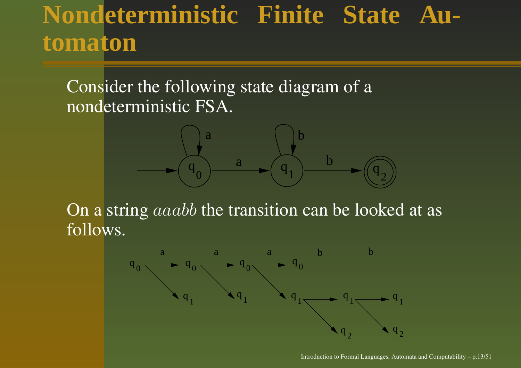## **Nondeterministic Finite State Automaton**

Consider the following state diagram of a nondeterministic FSA.



On a string  $aaabb$  the transition can be looked at as follows.

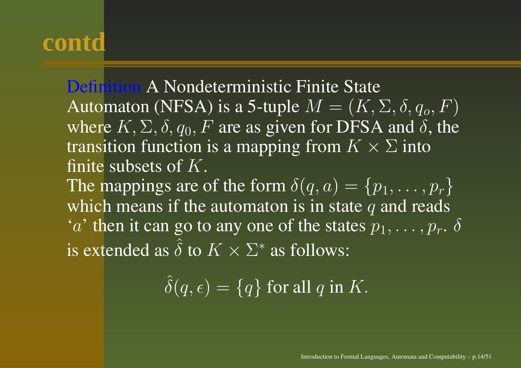Definition A Nondeterministic Finite State Automaton (NFSA) is a 5-tuple  $M=(K,\Sigma,\delta,q_o,F)$ where  $K, \Sigma, \delta, q_0, F$  are as given for DFSA and  $\delta$ , the transition function is a mapping from  $K\times \Sigma$  into finite subsets of  $K$ . The mappings are of the form  $\delta(q,a) = \{p_1,\ldots,p_r\}$ which means if the automaton is in state  $q$  and reads ' $a$ ' then it can go to any one of the states  $p_1,\ldots,p_r.$   $\delta$ ˆ

is extended as  $\delta$  to  $K \times \Sigma^*$  as follows:

> ˆ $\delta(q,\epsilon) = \{q\}$  for all  $q$  in  $K.$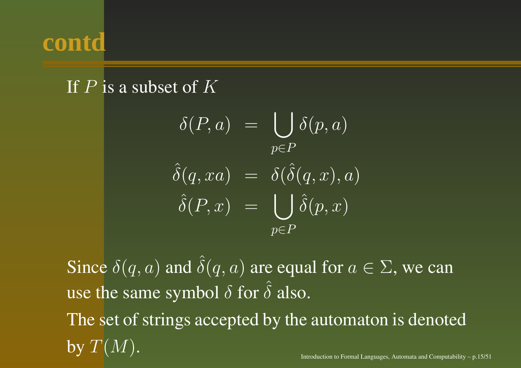

#### If  $P$  is a subset of  $K$

$$
\delta(P, a) = \bigcup_{p \in P} \delta(p, a)
$$

$$
\hat{\delta}(q, xa) = \delta(\hat{\delta}(q, x), a)
$$

$$
\hat{\delta}(P, x) = \bigcup_{p \in P} \hat{\delta}(p, x)
$$

Since  $\delta(q,a)$  and  $\hat{\delta}$  $\delta(q,a)$  are equal for  $a\in\Sigma,$  we can use the same symbol  $\delta$  for  $\hat{\delta}$  $\delta$  also. The set of strings accepted by the automaton is denoted by  $T(M)$ . Introduction to Formal Languages, Automata and Computability  $- p.15/51$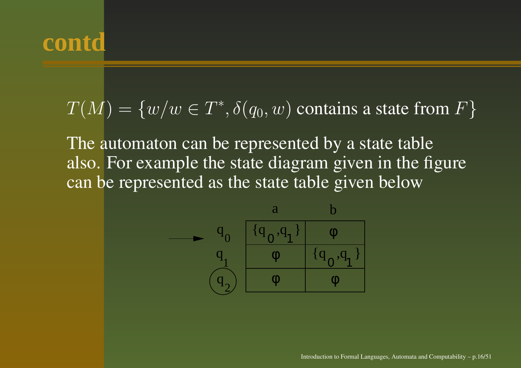$$
T(M) = \{w/w \in T^*, \delta(q_0, w) \text{ contains a state from } F\}
$$

The automaton can be represented by <sup>a</sup> state table also. For example the state diagram given in the figure can be represented as the state table given below

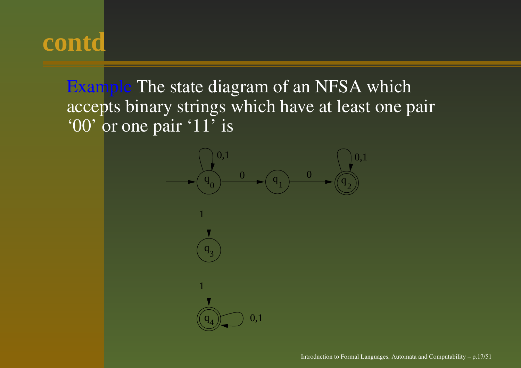Example The state diagram of an NFSA which accepts binary strings which have at least one pair '00' or one pair '11' is

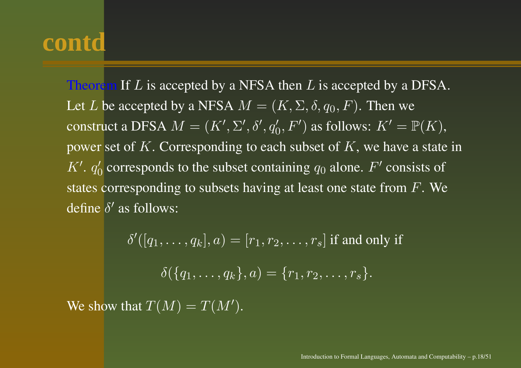Theorem If  $L$  is accepted by a NFSA then  $L$  is accepted by a DFSA. Let  $L$  be accepted by a NFSA  $M = (K,\Sigma,\delta,q_0,F).$  Then we construct a DFSA  $M = (K',\Sigma',\delta',q_0',F')$  as follows:  $K' = \mathbb{P}(K),$ power set of K. Corresponding to each subset of  $K$ , we have a state in  $K'$ .  $q'_0$  corresponds to the subset containing  $q_0$  alone.  $F'$  consists of states corresponding to subsets having at least one state from  $F.$  We define  $\delta'$  as follows:

 $\delta'([\overline{q_1}, \ldots, \overline{q_k}], a) = [r_1, r_2, \ldots, r_s]$  if and only if  $\delta(\overline{\{q_1,\ldots,q_k\}},a) = \overline{\{r_1,r_2,\ldots,r_s\}}.$ We show that  $T(M) = T(M').$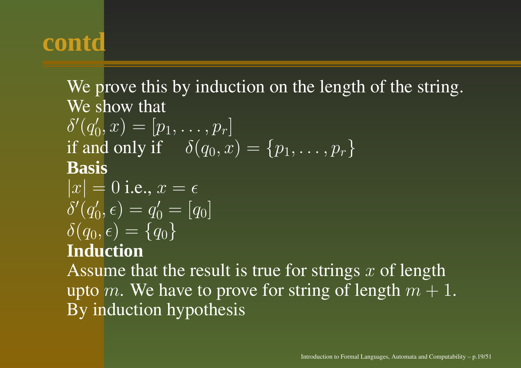We prove this by induction on the length of the string. We show that

$$
\delta'(q'_0, x) = [p_1, \dots, p_r]
$$
  
if and only if  $\delta(q_0, x) = \{p_1, \dots, p_r\}$   
**Basis**

$$
|x| = 0
$$
 i.e.,  $x = \epsilon$   
\n
$$
\delta'(q'_0, \epsilon) = q'_0 = [q_0]
$$
  
\n
$$
\delta(q_0, \epsilon) = \{q_0\}
$$
  
\nInduction

Assume that the result is true for strings  $x$  of length upto m. We have to prove for string of length  $m + 1$ . By induction hypothesis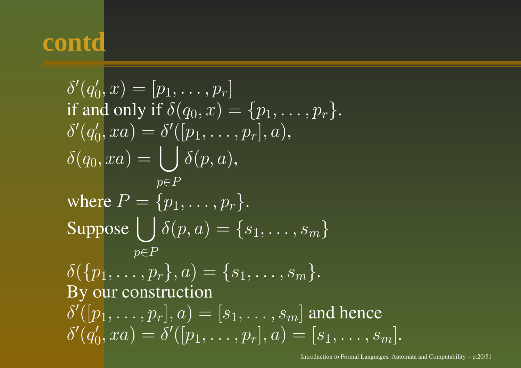$$
\delta'(q'_0, x) = [p_1, \dots, p_r]
$$
  
if and only if  $\delta(q_0, x) = \{p_1, \dots, p_r\}$ .  

$$
\delta'(q'_0, xa) = \delta'([p_1, \dots, p_r], a),
$$

$$
\delta(q_0, xa) = \bigcup_{p \in P} \delta(p, a),
$$
  
where  $P = \{p_1, \dots, p_r\}$ .  
Suppose  $\bigcup_{p \in P} \delta(p, a) = \{s_1, \dots, s_m\}$   

$$
\delta(\{p_1, \dots, p_r\}, a) = \{s_1, \dots, s_m\}.
$$
  
By our construction  

$$
\delta'([p_1, \dots, p_r], a) = [s_1, \dots, s_m]
$$
 and hence  

$$
\delta'(q'_0, xa) = \delta'([p_1, \dots, p_r], a) = [s_1, \dots, s_m].
$$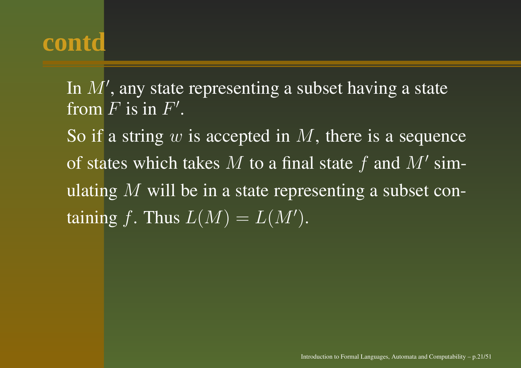In  $M^{\prime}$ , any state representing a subset having a state from  $F$  is in  $F^{\prime}.$ 

So if a string  $w$  is accepted in  $M$ , there is a sequence of states which takes  $M$  to a final state  $f$  and  $M'$  simulating  $M$  will be in a state representing a subset containing f. Thus  $L(M) = L(M')$ .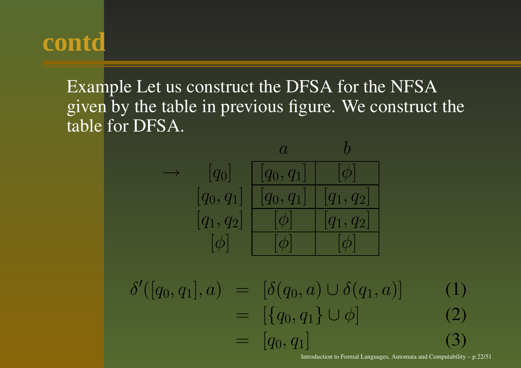Example Let us construct the DFSA for the NFSA given by the table in previous figure. We construct the table for DFSA.



$$
\delta'([q_0, q_1], a) = [\delta(q_0, a) \cup \delta(q_1, a)] \qquad (1)
$$
  
\n
$$
= [\{q_0, q_1\} \cup \phi] \qquad (2)
$$
  
\n
$$
= [q_0, q_1] \qquad (3)
$$
  
\nIntroduction to Formula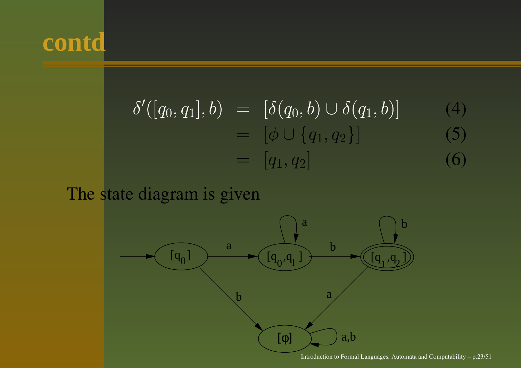

$$
\delta'([q_0, q_1], b) = [\delta(q_0, b) \cup \delta(q_1, b)] \qquad (4)
$$
  
=  $[\phi \cup \{q_1, q_2\}]$  (5)  
=  $[q_1, q_2]$  (6)

The state diagram is given

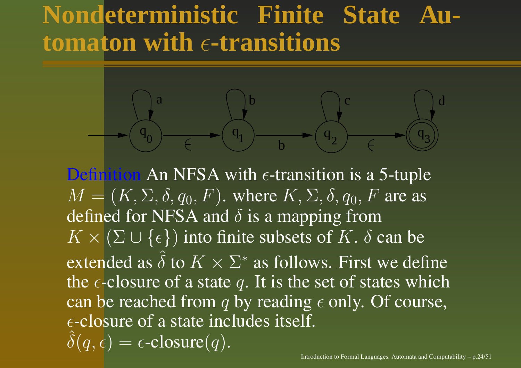### **Nondeterministic Finite State Automaton with -transitions**



Definition An NFSA with  $\epsilon$ -transition is a 5-tuple  $M = (K, \Sigma, \delta, q_0, F)$ . where  $K, \Sigma, \delta, q_0, F$  are as defined for NFSA and  $\delta$  is a mapping from  $K \times (\Sigma \cup \{\epsilon\})$  into finite subsets of K.  $\delta$  can be extended as  $\hat{\delta}$  to  $K\times \Sigma$ ∗ as follows. First we define the  $\epsilon$ -closure of a state q. It is the set of states which can be reached from  $q$  by reading  $\epsilon$  only. Of course,  $\epsilon$ -closure of a state includes itself.  $\hat{\delta}(q,\epsilon)$  $= \epsilon\text{-closure}(q).$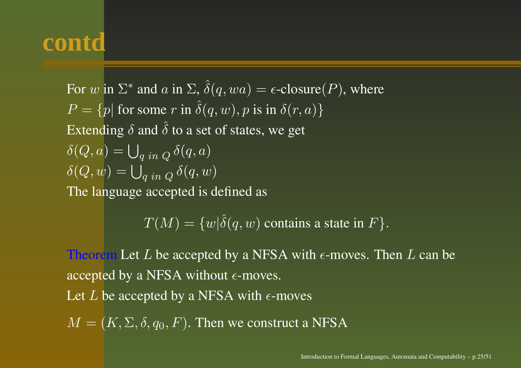For  $w$  in  $\Sigma^*$  and  $a$  in  $\Sigma, \, \hat{\delta}$  $\delta(q, wa) = \epsilon\text{-closure}(P)$ , where  $P = \{p | \text{ for some } r \text{ in } \hat{\delta}\}$  $\delta(q,w), p$  is in  $\delta(r,a) \}$ Extending  $\delta$  and  $\hat{\delta}$  $\delta$  to a set of states, we get  $\delta(Q, a) = \bigcup_{a \text{ in } Q} \delta(q, a)$  $\delta(Q, w) = \bigcup_{g \text{ in } Q} \delta(q, w)$ The language accepted is defined as

> $T(M)=\{w\vert \hat{\delta}$  $\delta(q,w)$  contains a state in  $F\}.$

Theorem Let L be accepted by a NFSA with  $\epsilon$ -moves. Then L can be accepted by a NFSA without  $\epsilon$ -moves.

Let  $L$  be accepted by a NFSA with  $\epsilon\text{-moves}$ 

 $M = (K, \Sigma, \delta, q_0, F)$ . Then we construct a NFSA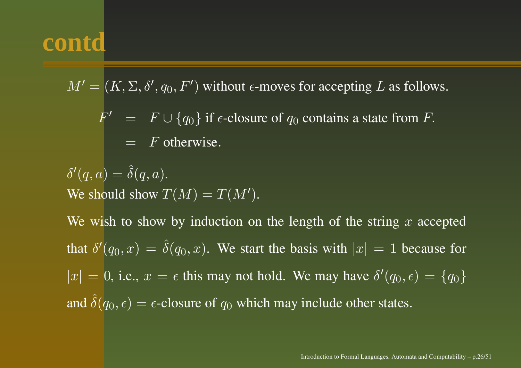$M' = (K, \Sigma, \delta', q_0, F')$  without  $\epsilon\text{-moves}$  for accepting  $L$  as follows.

 $F' = F \cup \{q_0\}$  if  $\epsilon$ -closure of  $q_0$  contains a state from F.  $=$  F otherwise.

 $\delta'(q,a) = \hat{\delta}$  $\delta(q,a).$ We should show  $T(M) = T(M').$ 

We wish to show by induction on the length of the string  $x$  accepted that  $\delta'(q_0,x) \,=\, \hat{\delta}$  $\delta(q_0, x)$ . We start the basis with  $|x| = 1$  because for  $|x| = 0$ , i.e.,  $x = \epsilon$  this may not hold. We may have  $\delta'(q_0, \epsilon) = \{q_0\}$ and ˆ $\delta(q_0, \epsilon) = \epsilon$ -closure of  $q_0$  which may include other states.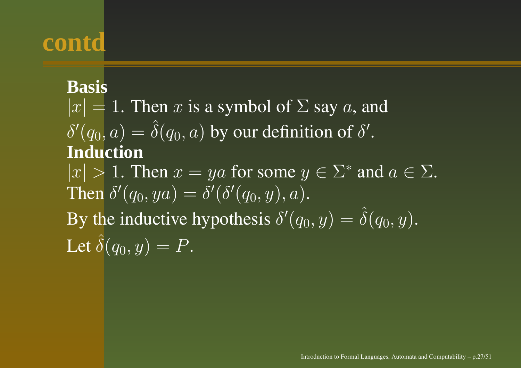#### **Basis**

 $|x| = 1$ . Then x is a symbol of  $\Sigma$  say a, and  $\delta'(q_0,a) = \hat{\delta}$  $\delta(q_0,a)$  by our definition of  $\delta'.$ **Induction** $|x| > 1$ . Then  $x = ya$  for some  $y \in \Sigma^*$  and  $a \in \Sigma$ . Then  $\delta'(q_0,ya)=\delta'(\delta'(q_0,y),a).$ By the inductive hypothesis  $\delta'(q_0, y) = \hat{\delta}$  $\delta(q_0, y).$ Let ˆ $\delta(q_0, y) = P.$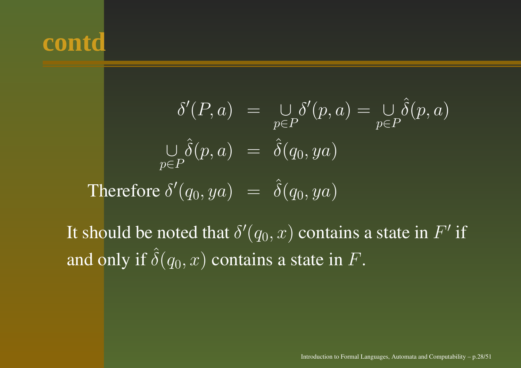$$
\delta'(P, a) = \bigcup_{p \in P} \delta'(p, a) = \bigcup_{p \in P} \hat{\delta}(p, a)
$$

$$
\bigcup_{p \in P} \hat{\delta}(p, a) = \hat{\delta}(q_0, ya)
$$
Therefore  $\delta'(q_0, ya) = \hat{\delta}(q_0, ya)$ 

It should be noted that  $\delta'(q_0,x)$  contains a state in  $F'$  if and only if ˆ $\delta(q_0,x)$  contains a state in  $F.$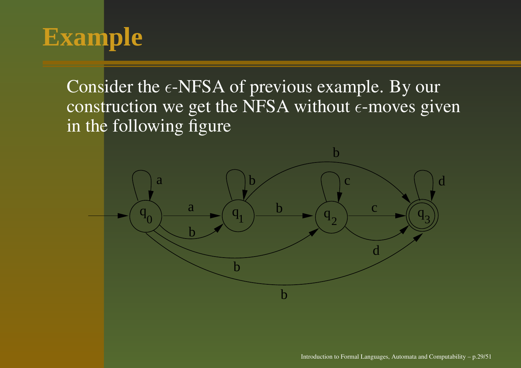## **Example**

Consider the  $\epsilon$ -NFSA of previous example. By our construction we get the NFSA without  $\epsilon\text{-moves}$  given in the following figure

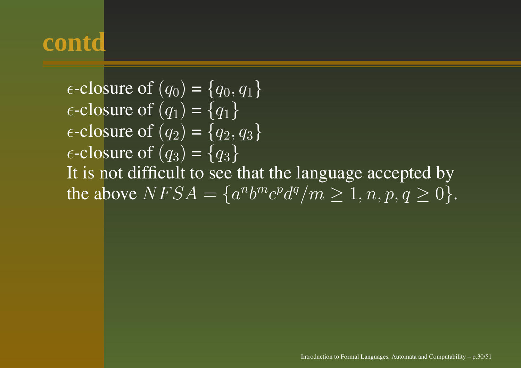$\epsilon$ -closure of  $(q_0)$  =  $\{q_0, q_1\}$  $\epsilon$ -closure of  $(q_1)$  =  $\{q_1\}$  $\epsilon$ -closure of  $(q_2)$  =  $\{q_2, q_3\}$  $\epsilon$ -closure of  $(q_3)$  =  $\{q_3\}$ It is not difficult to see that the language accepted by the above  $NFSA = \{a^n b^m c^p d^q / m \geq 1, n, p, q \geq 0\}.$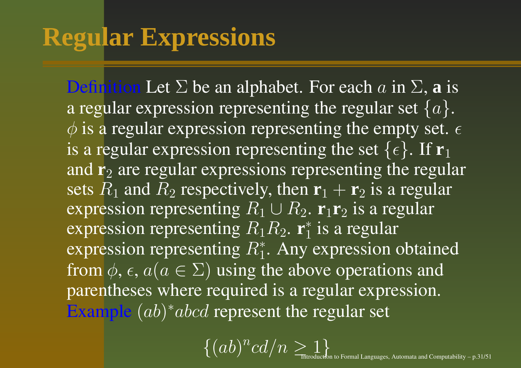## **Regular Expressions**

**Definition** Let  $\Sigma$  be an alphabet. For each  $a$  in  $\Sigma$ , **a** is a regular expression representing the regular set  $\{a\}.$  $\phi$  is a regular expression representing the empty set.  $\epsilon$ is a regular expression representing the set  $\{\epsilon\}$ . If  $\mathbf{r}_1$ and **r**2 are regular expressions representing the regular sets  $R_1$  and  $R_2$  respectively, then  $\mathbf{r}_1 + \mathbf{r}_2$  is a regular expression representing  $R_1 \cup R_2$ . **r**<sub>1</sub>**r**<sub>2</sub> is a regular expression representing R1R<sup>2</sup>. **<sup>r</sup>**<sup>∗</sup><sup>1</sup> is <sup>a</sup> regular expression representing  $R_1^*$ . Any expression obtained from  $\phi, \epsilon, a (a \in \Sigma)$  using the above operations and parentheses where required is <sup>a</sup> regular expression. Example  $(ab)^*abcd$  represent the regular set

> $\{(ab)^n c d/n \geq 1\}$ to Formal Languages, Automata and Computability – p.31/51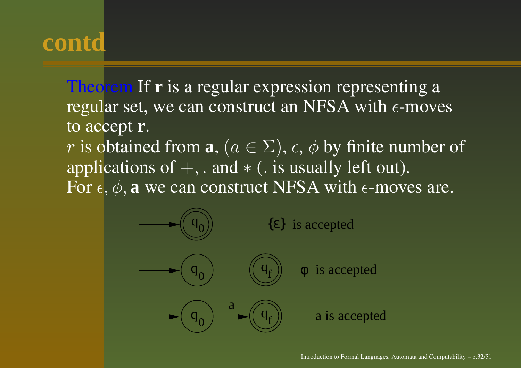Theorem If **<sup>r</sup>** is <sup>a</sup> regular expression representing <sup>a</sup> regular set, we can construct an NFSA with  $\epsilon$ -moves to accept **<sup>r</sup>**.

*r* is obtained from  $\mathbf{a}, (a \in \Sigma), \epsilon, \phi$  by finite number of applications of  $+$ , . and  $*$  (. is usually left out). For  $\epsilon, \phi, \mathbf{a}$  we can construct NFSA with  $\epsilon$ -moves are.

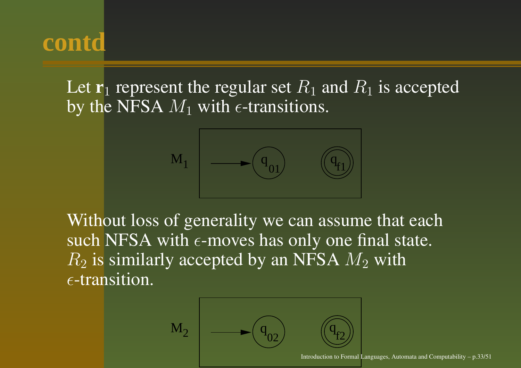Let  $\mathbf{r}_1$  represent the regular set  $R_1$  and  $R_1$  is accepted by the NFSA  $M_1$  with  $\epsilon$ -transitions.



Without loss of generality we can assume that each such NFSA with  $\epsilon\text{-moves}$  has only one final state.  $R_2$  is similarly accepted by an NFSA  $M_2$  with  $\epsilon$ -transition.

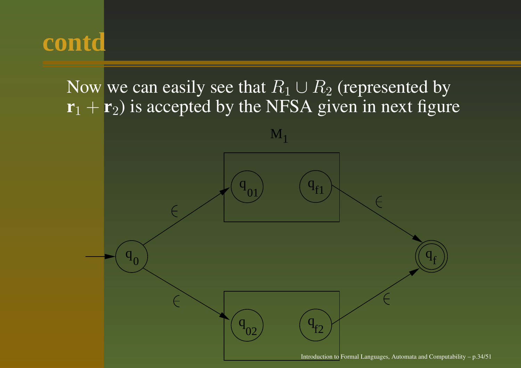#### Now we can easily see that  $R_1\cup R_2$  (represented by **r**1 + **<sup>r</sup>**2) is accepted by the NFSA given in next figure

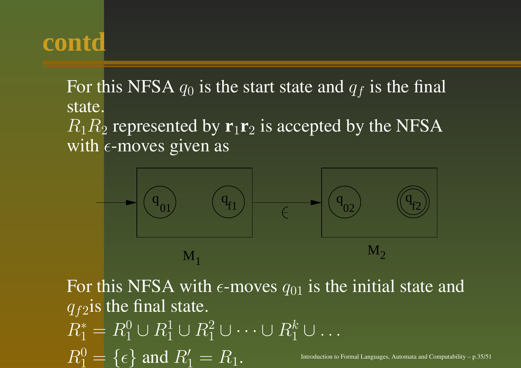For this NFSA  $q_0$  is the start state and  $q_f$  is the final state.

 $R_1R_2$  represented by  $\mathbf{r}_1\mathbf{r}_2$  is accepted by the NFSA with  $\epsilon$ -moves given as



For this NFSA with  $\epsilon$ -moves  $q_{01}$  is the initial state and  $q_{f2}$ is the final state.  $R_1^*=R_1^0\cup R_1^1\cup R_1^2\cup\cdots\cup R_1^k\cup\ldots$  $R_1^0 = \{ \epsilon \}$   $\text{and } R_1' = R_1.$  Introduction to Formal Languages, Automata and Computability – p.35/51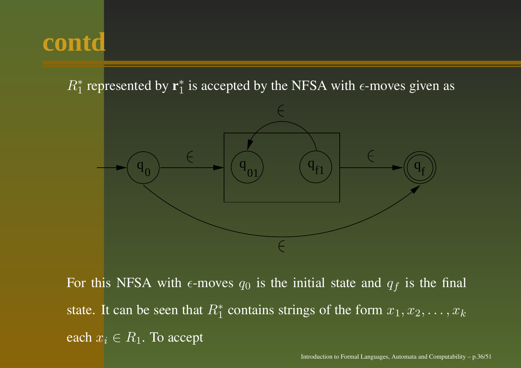$R_1^*$  represented by  $\mathbf{r}_1^*$  is accepted by the NFSA with  $\epsilon$ -moves given as



For this NFSA with  $\epsilon$ -moves  $q_0$  is the initial state and  $q_f$  is the final state. It can be seen that  $R_1^*$  contains strings of the form  $x_1, x_2, \ldots, x_k$ each  $x_i \in R_1.$  To accept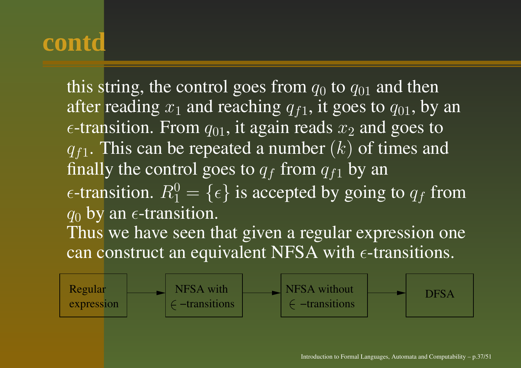this string, the control goes from  $q_0$  to  $q_{01}$  and then after reading  $x_1$  and reaching  $q_{f1},$  it goes to  $q_{01},$  by an  $\epsilon$ -transition. From  $q_{01}$ , it again reads  $x_2$  and goes to  $q_{f1}$ . This can be repeated a number  $(k)$  of times and finally the control goes to  $q_f$  from  $q_{f1}$  by an  $\epsilon$ -transition.  $R_1^0 = \{\epsilon\}$  is accepted by going to  $q_f$  from  $q_0$  by an  $\epsilon$ -transition. Thus we have seen that given <sup>a</sup> regular expression one can construct an equivalent NFSA with  $\epsilon$ -transitions.

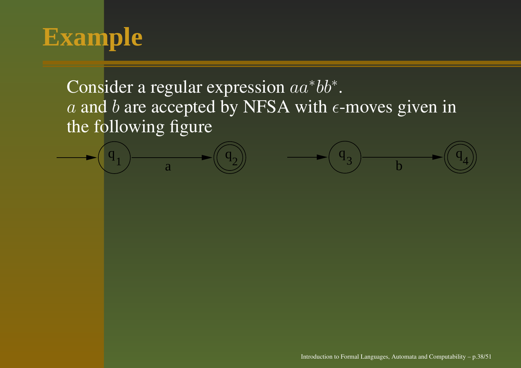## **Example**

Consider a regular expression  $aa^*bb^*.$ a and b are accepted by NFSA with  $\epsilon$ -moves given in the following figure

 $q_1$   $\longrightarrow$   $q_2$   $\longrightarrow$   $q_3$   $\longrightarrow$ 

 $\frac{q_3}{b}$ 

 $\frac{3}{b}$  b

Introduction to Formal Languages, Automata and Computability – p.38/51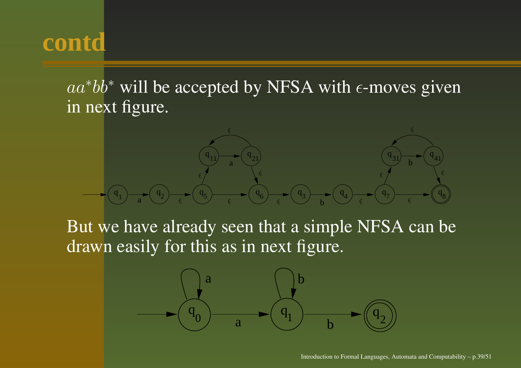$aa^*bb^*$  will be accepted by NFSA with  $\epsilon$ -moves given in next figure.



But we have already seen that <sup>a</sup> simple NFSA can be drawn easily for this as in next figure.

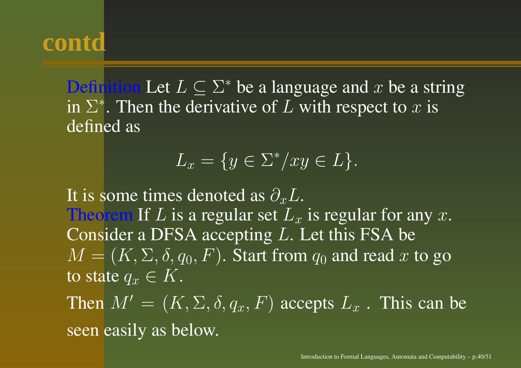Definition Let  $L \subseteq \Sigma^*$  be a language and x be a string in  $\Sigma^*$ . Then the derivative of L with respect to  $x$  is defined as

$$
L_x = \{ y \in \Sigma^* / xy \in L \}.
$$

It is some times denoted as  $\partial_x L.$ Theorem If  $L$  is a regular set  $L_x$  is regular for any  $x.$ Consider a DFSA accepting  $L$ . Let this FSA be  $M = (K, \Sigma, \delta, q_0, F)$ . Start from  $q_0$  and read x to go to state  $q_x \in K.$ 

Then  $M' = (K, \Sigma, \delta, q_x, F)$  accepts  $L_x$  . This can be seen easily as below.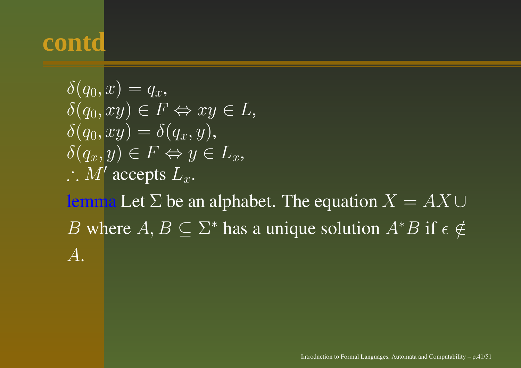$$
\delta(q_0, x) = q_x,\n\delta(q_0, xy) \in F \Leftrightarrow xy \in L,\n\delta(q_0, xy) = \delta(q_x, y),\n\delta(q_x, y) \in F \Leftrightarrow y \in L_x,\n\therefore M' accepts L_x.
$$

lemma Let  $\Sigma$  be an alphabet. The equation  $X = AX \cup$ B where  $A, B \subseteq \Sigma^*$  has a unique solution  $A^*B$  if  $\epsilon \notin \mathcal{A}$ A.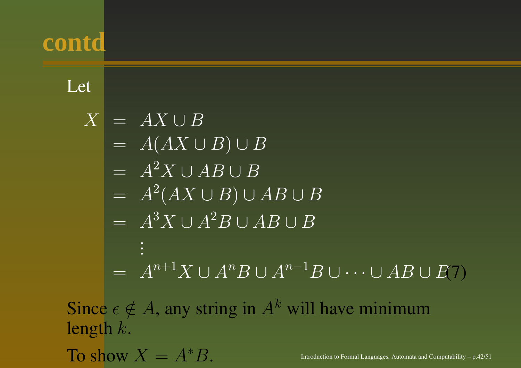#### Let

$$
X = AX \cup B
$$
  
=  $A(AX \cup B) \cup B$   
=  $A^2X \cup AB \cup B$   
=  $A^2(AX \cup B) \cup AB \cup B$   
=  $A^3X \cup A^2B \cup AB \cup B$   
:  
=  $A^{n+1}X \cup A^nB \cup A^{n-1}B \cup \dots \cup AB \cup E(7)$ 

Since  $\epsilon \notin A$ , any string in  $A^k$  will have minimum length k.

To show  $X$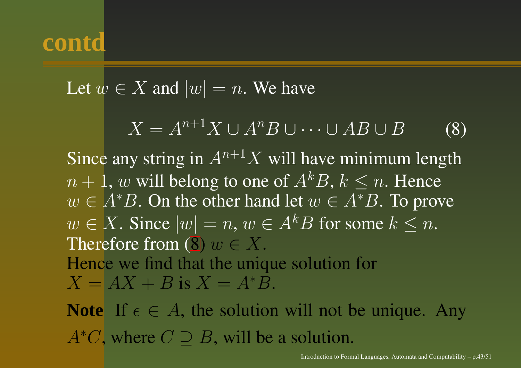Let 
$$
w \in X
$$
 and  $|w| = n$ . We have

 $X = A^{n+1}X \cup A^nB \cup \cdots \cup AB \cup B$  (8)

Since any string in  $A^{n+1}X$  will have minimum length  $n+1, w$  will belong to one of  $A^kB,$   $k\leq n.$  Hence  $w \in A^*B$ . On the other hand let  $w \in A^*B$ . To prove  $w \in X$ . Since  $|w| = n$ ,  $w \in A^k B$  for some  $k \leq n$ . Therefore from (8)  $w\in X.$ Hence we find that the unique solution for  $X = AX + B$  is  $X = A^*B$ .

**Note** If  $\epsilon \in A$ , the solution will not be unique. Any  $A<sup>*</sup>C$ , where  $C \supset B$ , will be a solution.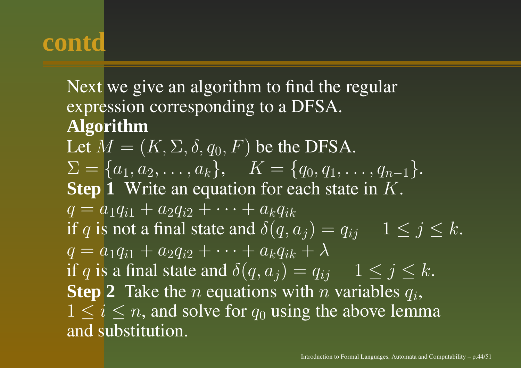Next we give an algorithm to find the regular expression corresponding to <sup>a</sup> DFSA. **Algorithm** Let  $M = (K,\Sigma,\delta,q_0,F)$  be the DFSA.  $\Sigma = \{a_1, a_2, \ldots, a_k\}, \quad K = \{q_0, q_1, \ldots, q_{n-1}\}.$ **Step 1** Write an equation for each state in K.  $q = a_1 q_{i1} + a_2 q_{i2} + \cdots + a_k q_{ik}$ if  $q$  is not a final state and  $\delta(q,a_j)=q_{ij} \quad \ 1\leq j\leq k.$  $q = a_1 q_{i1} + a_2 q_{i2} + \cdots + a_k q_{ik} + \lambda^k$ if  $q$  is a final state and  $\delta(q,a_j)=q_{ij} \quad \ 1\leq j\leq k.$ **Step 2** Take the *n* equations with *n* variables  $q_i$ ,  $1 \leq i \leq n$ , and solve for  $q_0$  using the above lemma and substitution.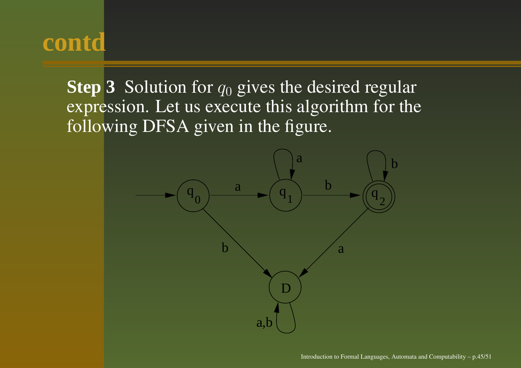**Step** 3 Solution for  $q_0$  gives the desired regular expression. Let us execute this algorithm for the following DFSA given in the figure.

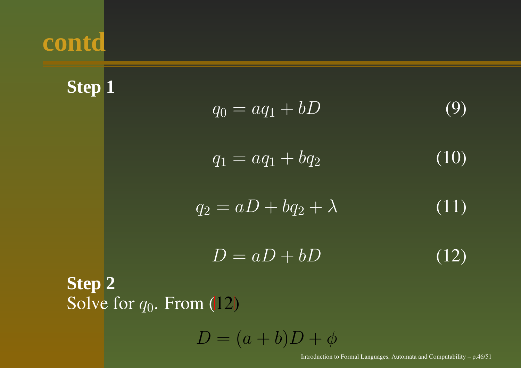**Step 1**

$$
q_0 = aq_1 + bD \tag{9}
$$

$$
q_1 = aq_1 + bq_2 \tag{10}
$$

$$
q_2 = aD + bq_2 + \lambda \tag{11}
$$

$$
D = aD + bD \tag{12}
$$

#### **Step 2** Solve for  $q_0$ . From  $(12)$

 $D = (a + b)D + \phi$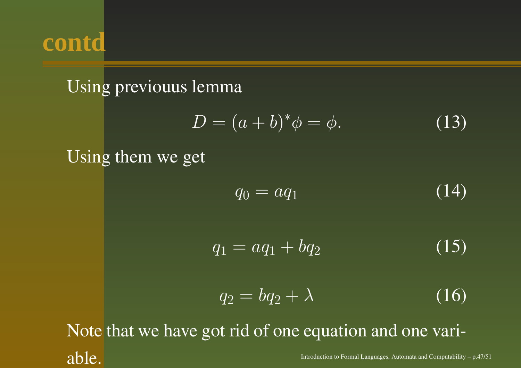

#### Using previouus lemma

$$
D = (a+b)^{*}\phi = \phi.
$$
 (13)

#### Using them we ge<sup>t</sup>

$$
q_0 = aq_1 \tag{14}
$$

$$
q_1 = aq_1 + bq_2 \tag{15}
$$

$$
q_2 = bq_2 + \lambda \tag{16}
$$

Note that we have go<sup>t</sup> rid of one equation and one variable. Introduction to Formal Languages, Automata and Computability – p.47/51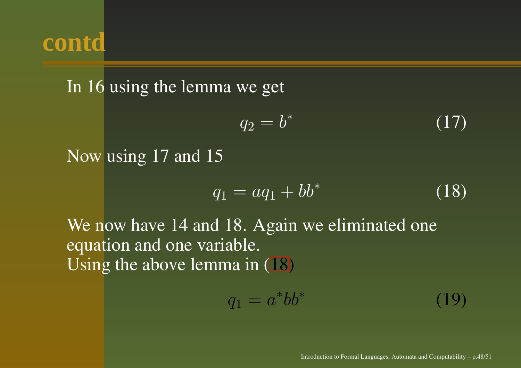In 16 using the lemma we ge<sup>t</sup>

$$
q_2 = b^* \tag{17}
$$

Now using 17 and 15

$$
q_1 = aq_1 + bb^* \tag{18}
$$

We now have 14 and 18. Again we eliminated one equation and one variable. Using the above lemma in  $(18)$ 

$$
q_1 = a^* b b^* \tag{19}
$$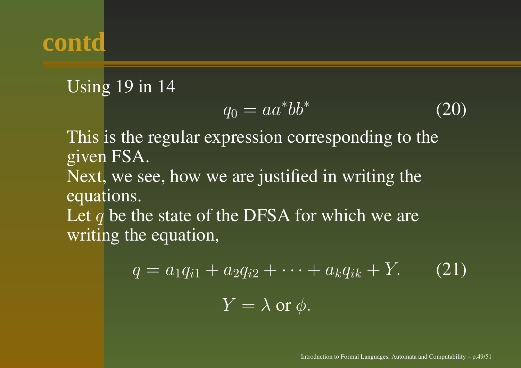#### Using 19 in 14

$$
q_0 = aa^*bb^* \tag{20}
$$

This is the regular expression corresponding to the given FSA. Next, we see, how we are justified in writing the equations. Let q be the state of the DFSA for which we are writing the equation,

$$
q = a_1 q_{i1} + a_2 q_{i2} + \dots + a_k q_{ik} + Y.
$$
 (21)  

$$
Y = \lambda \text{ or } \phi.
$$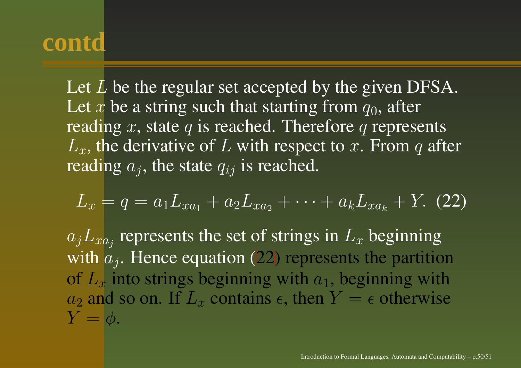Let  $L$  be the regular set accepted by the given DFSA. Let  $x$  be a string such that starting from  $q_0$ , after reading x, state q is reached. Therefore q represents  $L_x$ , the derivative of L with respect to x. From q after reading  $a_i$ , the state  $q_{ij}$  is reached.

$$
L_x = q = a_1 L_{xa_1} + a_2 L_{xa_2} + \cdots + a_k L_{xa_k} + Y. (22)
$$

 $a_jL_{xa_j}$  represents the set of strings in  $L_x$  beginning with  $a_j$ . Hence equation (22) represents the partition of  $L_x$  into strings beginning with  $a_1$ , beginning with  $a_2$  and so on. If  $L_x$  contains  $\epsilon$ , then  $Y = \epsilon$  otherwise  $Y = \vert \phi.$